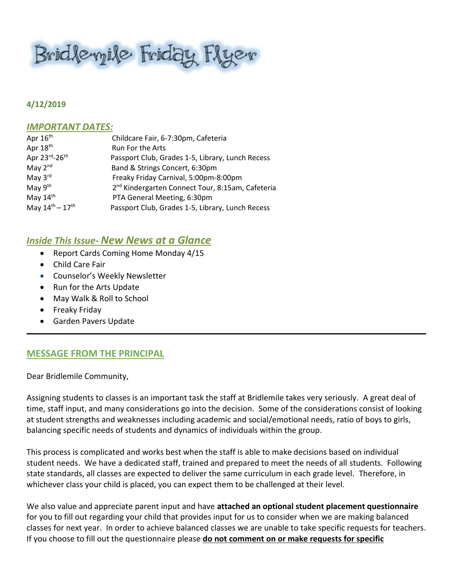Bridleyile Friday Flyer

#### **4/12/2019**

#### *IMPORTANT DATES:*

| Childcare Fair, 6-7:30pm, Cafeteria                          |
|--------------------------------------------------------------|
| Run For the Arts                                             |
| Passport Club, Grades 1-5, Library, Lunch Recess             |
| Band & Strings Concert, 6:30pm                               |
| Freaky Friday Carnival, 5:00pm-8:00pm                        |
| 2 <sup>nd</sup> Kindergarten Connect Tour, 8:15am, Cafeteria |
| PTA General Meeting, 6:30pm                                  |
| Passport Club, Grades 1-5, Library, Lunch Recess             |
|                                                              |

# *Inside This Issue- New News at a Glance*

- Report Cards Coming Home Monday 4/15
- Child Care Fair
- **•** Counselor's Weekly Newsletter
- Run for the Arts Update
- May Walk & Roll to School
- **•** Freaky Friday
- Garden Pavers Update

## **MESSAGE FROM THE PRINCIPAL**

Dear Bridlemile Community,

Assigning students to classes is an important task the staff at Bridlemile takes very seriously. A great deal of time, staff input, and many considerations go into the decision. Some of the considerations consist of looking at student strengths and weaknesses including academic and social/emotional needs, ratio of boys to girls, balancing specific needs of students and dynamics of individuals within the group.

This process is complicated and works best when the staff is able to make decisions based on individual student needs. We have a dedicated staff, trained and prepared to meet the needs of all students. Following state standards, all classes are expected to deliver the same curriculum in each grade level. Therefore, in whichever class your child is placed, you can expect them to be challenged at their level.

We also value and appreciate parent input and have **attached an optional student placement questionnaire** for you to fill out regarding your child that provides input for us to consider when we are making balanced classes for next year. In order to achieve balanced classes we are unable to take specific requests for teachers. If you choose to fill out the questionnaire please **do not comment on or make requests for specific**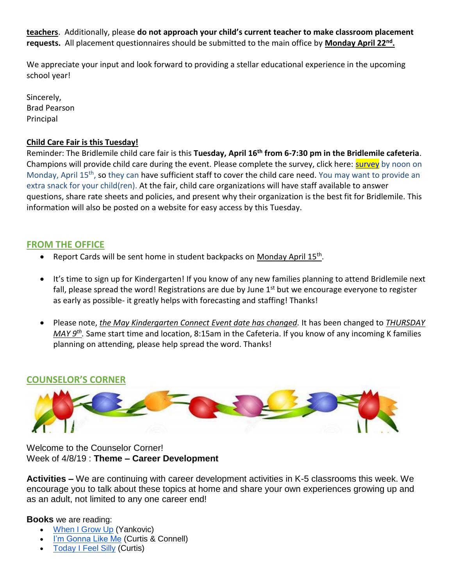**teachers**. Additionally, please **do not approach your child's current teacher to make classroom placement requests.** All placement questionnaires should be submitted to the main office by **Monday April 22nd .**

We appreciate your input and look forward to providing a stellar educational experience in the upcoming school year!

Sincerely, Brad Pearson Principal

## **Child Care Fair is this Tuesday!**

Reminder: The Bridlemile child care fair is this **Tuesday, April 16th from 6-7:30 pm in the Bridlemile cafeteria**. Champions will provide child care during the event. Please complete the [survey](https://docs.google.com/forms/d/e/1FAIpQLScC_0yp0F7CwuskRSfsek5NZ2cUzEa9tSXA6g5z4eGPl2pavg/viewform), click here: **survey** by noon on Monday, April 15<sup>th</sup>, so they can have sufficient staff to cover the child care need. You may want to provide an extra snack for your child(ren). At the fair, child care organizations will have staff available to answer questions, share rate sheets and policies, and present why their organization is the best fit for Bridlemile. This information will also be posted on a website for easy access by this Tuesday.

## **FROM THE OFFICE**

- Report Cards will be sent home in student backpacks on Monday April 15<sup>th</sup>.
- It's time to sign up for Kindergarten! If you know of any new families planning to attend Bridlemile next fall, please spread the word! Registrations are due by June  $1<sup>st</sup>$  but we encourage everyone to register as early as possible- it greatly helps with forecasting and staffing! Thanks!
- Please note, *the May Kindergarten Connect Event date has changed.* It has been changed to *THURSDAY MAY 9th .* Same start time and location, 8:15am in the Cafeteria. If you know of any incoming K families planning on attending, please help spread the word. Thanks!

# **COUNSELOR'S CORNER**



Welcome to the Counselor Corner! Week of 4/8/19 : **Theme – Career Development**

**Activities –** We are continuing with career development activities in K-5 classrooms this week. We encourage you to talk about these topics at home and share your own experiences growing up and as an adult, not limited to any one career end!

**Books** we are reading:

- [When I Grow Up](https://www.amazon.com/When-Grow-Up-Al-Yankovic/dp/0061926914/ref=sr_1_3?keywords=when+I+grow+up&qid=1554142153&s=gateway&sr=8-3) (Yankovic)
- [I'm Gonna Like Me](https://www.amazon.com/Im-Gonna-Like-Me-Self-Esteem/dp/0060287616/ref=sr_1_1?keywords=I%27m+gonna+like+me&qid=1554837486&s=books&sr=1-1) (Curtis & Connell)
- [Today I Feel Silly](https://www.amazon.com/Today-Feel-Silly-Other-Moods/dp/0060245603/ref=sr_1_1?keywords=today+I+feel+silly&qid=1554837516&s=books&sr=1-1) (Curtis)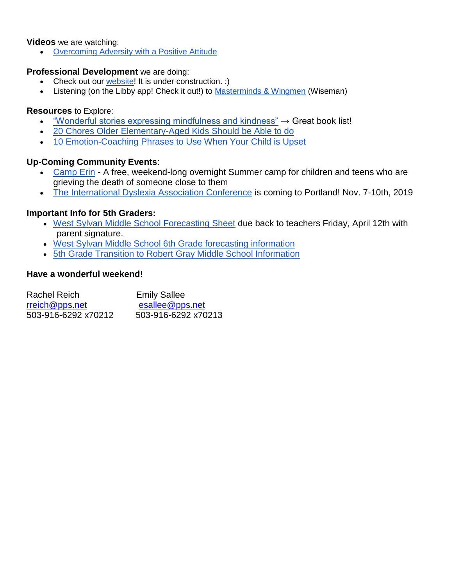#### **Videos** we are watching:

[Overcoming Adversity with a Positive Attitude](https://youtu.be/31X58sZYhZA)

#### **Professional Development** we are doing:

- Check out our [website!](https://sites.google.com/apps4pps.net/bridlemile-counselor-corner/home?authuser=0) It is under construction. :)
- Listening (on the Libby app! Check it out!) to [Masterminds & Wingmen](https://www.amazon.com/Masterminds-Wingmen-Schoolyard-Locker-Room-Girlfriends/dp/0307986659/ref=sr_1_1?crid=3K50TCP6FNTFV&keywords=masterminds+and+wingmen%2C%22+by+rosalind+wiseman&qid=1554744911&s=gateway&sprefix=masterminds%2Caps%2C183&sr=8-1) (Wiseman)

### **Resources** to Explore:

- . ["Wonderful stories expressing mindfulness and kindness"](https://www.readingeagle.com/life/article/wonderful-stories-expressing-mindfulness-and-kindness?fbclid=IwAR0wi7ihNQ20QO4CgNbSemGLv1dnWSFB9hl5s7SEdvb--1lska0Ooqiz9b0) → Great book list!
- [20 Chores Older Elementary-Aged Kids Should be Able to do](https://www.scarymommy.com/building-independence-upper-elementary-child/?fbclid=IwAR2z7HRgNXmXkBRqikX7GJ2OMcyMGycRupbXEg1BMBYrnkLg74vIKVJVnXM)
- [10 Emotion-Coaching Phrases to Use When Your Child is Upset](https://nurtureandthriveblog.com/what-to-say-when-your-child-is-upset/?fbclid=IwAR1cuifpniuzxFxbtJXZl9uVO6JIbZObmR9pBFEXNXpq-Bbe0SYTm1UtAQ0)

## **Up-Coming Community Events**:

- [Camp Erin](https://oregon.providence.org/our-services/c/camp-erin/) A free, weekend-long overnight Summer camp for children and teens who are grieving the death of someone close to them
- [The International Dyslexia Association Conference](https://www.eiseverywhere.com/website/887/home/) is coming to Portland! Nov. 7-10th, 2019

## **Important Info for 5th Graders:**

- [West Sylvan Middle School Forecasting Sheet](https://pdf.snapandread.com/viewer.html?url=https%3A%2F%2Fwww.pps.net%2Fcms%2Flib%2FOR01913224%2FCentricity%2FDomain%2F160%2F6th%2520grade%2520forecasting%25202019-20.pdf) due back to teachers Friday, April 12th with parent signature.
- [West Sylvan Middle School 6th Grade forecasting information](https://www.pps.net/westsylvan)
- [5th Grade Transition to Robert Gray Middle School Information](https://pdf.snapandread.com/viewer.html?url=https%3A%2F%2Fwww.pps.net%2Fcms%2Flib%2FOR01913224%2FCentricity%2FDomain%2F120%2FSchool%2520Tours%25202019-20.pdf)

## **Have a wonderful weekend!**

| Rachel Reich        | <b>Emily Sallee</b> |
|---------------------|---------------------|
| rreich@pps.net      | esallee@pps.net     |
| 503-916-6292 x70212 | 503-916-6292 x70213 |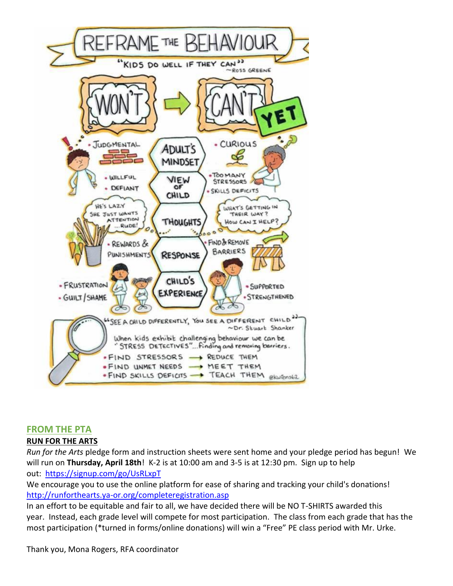

## **FROM THE PTA**

## **RUN FOR THE ARTS**

*Run for the Arts* pledge form and instruction sheets were sent home and your pledge period has begun! We will run on **Thursday, April 18th**! K-2 is at 10:00 am and 3-5 is at 12:30 pm. Sign up to help out: <https://signup.com/go/UsRLxpT>

We encourage you to use the online platform for ease of sharing and tracking your child's donations! <http://runforthearts.ya-or.org/completeregistration.asp>

In an effort to be equitable and fair to all, we have decided there will be NO T-SHIRTS awarded this year. Instead, each grade level will compete for most participation. The class from each grade that has the most participation (\*turned in forms/online donations) will win a "Free" PE class period with Mr. Urke.

Thank you, Mona Rogers, RFA coordinator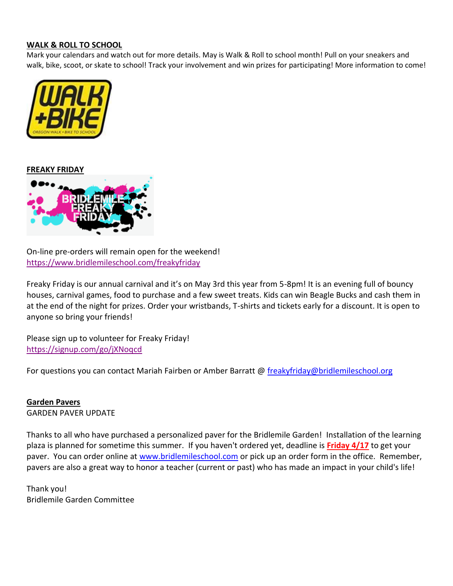#### **WALK & ROLL TO SCHOOL**

Mark your calendars and watch out for more details. May is Walk & Roll to school month! Pull on your sneakers and walk, bike, scoot, or skate to school! Track your involvement and win prizes for participating! More information to come!



**FREAKY FRIDAY**



On-line pre-orders will remain open for the weekend! <https://www.bridlemileschool.com/freakyfriday>

Freaky Friday is our annual carnival and it's on May 3rd this year from 5-8pm! It is an evening full of bouncy houses, carnival games, food to purchase and a few sweet treats. Kids can win Beagle Bucks and cash them in at the end of the night for prizes. Order your wristbands, T-shirts and tickets early for a discount. It is open to anyone so bring your friends!

Please sign up to volunteer for Freaky Friday! <https://signup.com/go/jXNoqcd>

For questions you can contact Mariah Fairben or Amber Barratt @ [freakyfriday@bridlemileschool.org](mailto:freakyfriday@bridlemileschool.org)

#### **Garden Pavers**

GARDEN PAVER UPDATE

Thanks to all who have purchased a personalized paver for the Bridlemile Garden! Installation of the learning plaza is planned for sometime this summer. If you haven't ordered yet, deadline is **Friday 4/17** to get your paver. You can order online at [www.bridlemileschool.com](http://www.bridlemileschool.com/) or pick up an order form in the office. Remember, pavers are also a great way to honor a teacher (current or past) who has made an impact in your child's life!

Thank you! Bridlemile Garden Committee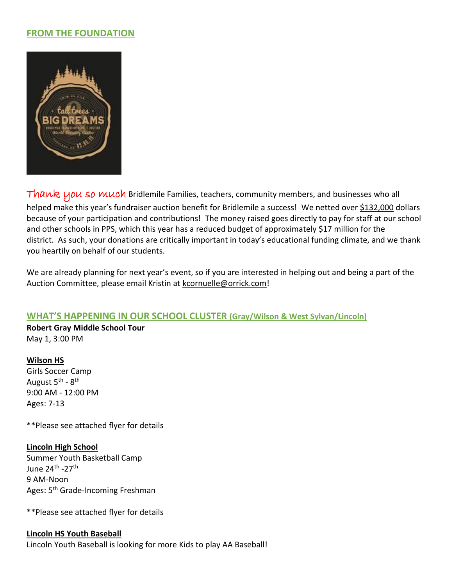## **FROM THE FOUNDATION**



Thank you so much Bridlemile Families, teachers, community members, and businesses who all helped make this year's fundraiser auction benefit for Bridlemile a success! We netted over \$132,000 dollars because of your participation and contributions! The money raised goes directly to pay for staff at our school and other schools in PPS, which this year has a reduced budget of approximately \$17 million for the district. As such, your donations are critically important in today's educational funding climate, and we thank you heartily on behalf of our students.

We are already planning for next year's event, so if you are interested in helping out and being a part of the Auction Committee, please email Kristin at [kcornuelle@orrick.com!](mailto:kcornuelle@orrick.com)

## **WHAT'S HAPPENING IN OUR SCHOOL CLUSTER (Gray/Wilson & West Sylvan/Lincoln)**

**Robert Gray Middle School Tour** May 1, 3:00 PM

#### **Wilson HS**

Girls Soccer Camp August 5<sup>th</sup> - 8<sup>th</sup> 9:00 AM - 12:00 PM Ages: 7-13

\*\*Please see attached flyer for details

#### **Lincoln High School**

Summer Youth Basketball Camp June 24<sup>th</sup> -27<sup>th</sup> 9 AM-Noon Ages: 5<sup>th</sup> Grade-Incoming Freshman

\*\*Please see attached flyer for details

#### **Lincoln HS Youth Baseball**

Lincoln Youth Baseball is looking for more Kids to play AA Baseball!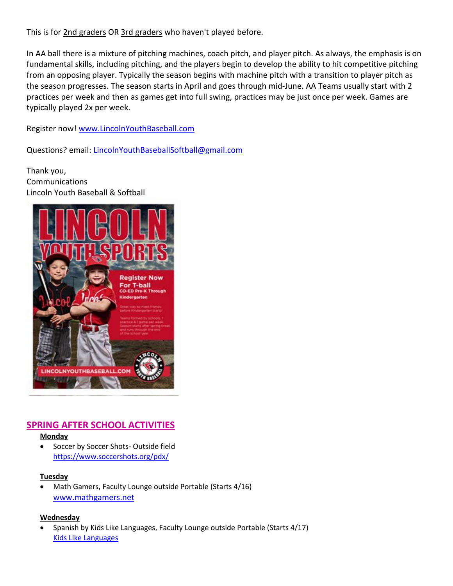This is for 2nd graders OR 3rd graders who haven't played before.

In AA ball there is a mixture of pitching machines, coach pitch, and player pitch. As always, the emphasis is on fundamental skills, including pitching, and the players begin to develop the ability to hit competitive pitching from an opposing player. Typically the season begins with machine pitch with a transition to player pitch as the season progresses. The season starts in April and goes through mid-June. AA Teams usually start with 2 practices per week and then as games get into full swing, practices may be just once per week. Games are typically played 2x per week.

Register now! [www.LincolnYouthBaseball.com](http://www.lincolnyouthbaseball.com/)

Questions? email: [LincolnYouthBaseballSoftball@gmail.com](mailto:LincolnYouthBaseballSoftball@gmail.com)

Thank you, Communications Lincoln Youth Baseball & Softball



# **SPRING AFTER SCHOOL ACTIVITIES**

**Monday**

 Soccer by Soccer Shots- Outside field <https://www.soccershots.org/pdx/>

#### **Tuesday**

 Math Gamers, Faculty Lounge outside Portable (Starts 4/16) [www.mathgamers.net](http://www.mathgamers.net/)

## **Wednesday**

 Spanish by Kids Like Languages, Faculty Lounge outside Portable (Starts 4/17) [Kids Like Languages](http://www.kidslikelanguages.com/)